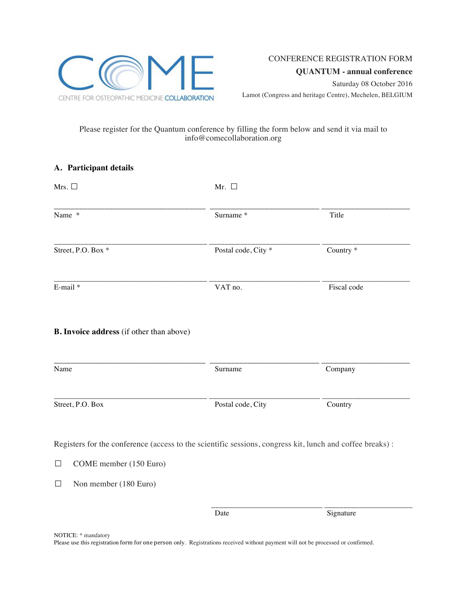

## Please register for the Quantum conference by filling the form below and send it via mail to info@comecollaboration.org

| A. Participant details                                        |                                                                                                           |                      |
|---------------------------------------------------------------|-----------------------------------------------------------------------------------------------------------|----------------------|
| Mrs. $\square$                                                | Mr. $\square$                                                                                             |                      |
| Name *                                                        | Surname*                                                                                                  | Title                |
| Street, P.O. Box *                                            | Postal code, City <sup>*</sup>                                                                            | Country <sup>*</sup> |
| E-mail*                                                       | VAT no.                                                                                                   | Fiscal code          |
| <b>B. Invoice address</b> (if other than above)               |                                                                                                           |                      |
| Name                                                          | Surname                                                                                                   | Company              |
|                                                               |                                                                                                           |                      |
|                                                               | Postal code, City                                                                                         | Country              |
|                                                               | Registers for the conference (access to the scientific sessions, congress kit, lunch and coffee breaks) : |                      |
| COME member (150 Euro)                                        |                                                                                                           |                      |
| Street, P.O. Box<br>$\Box$<br>Non member (180 Euro)<br>$\Box$ |                                                                                                           |                      |

NOTICE: \* mandatory

Please use this registration form for one person only. Registrations received without payment will not be processed or confirmed.